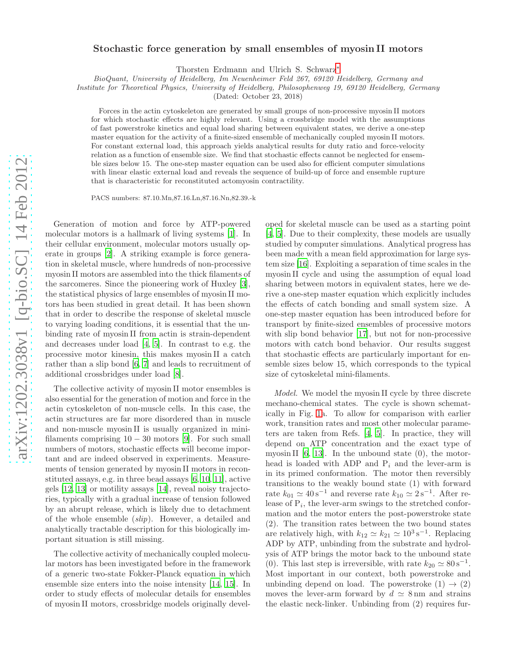## arXiv:1202.3038v1 [q-bio.SC] 14 Feb 2012 [arXiv:1202.3038v1 \[q-bio.SC\] 14 Feb 2012](http://arxiv.org/abs/1202.3038v1)

## Stochastic force generation by small ensembles of myosin II motors

Thorsten Erdmann and Ulrich S. Schwarz[∗](#page-4-0)

BioQuant, University of Heidelberg, Im Neuenheimer Feld 267, 69120 Heidelberg, Germany and

Institute for Theoretical Physics, University of Heidelberg, Philosophenweg 19, 69120 Heidelberg, Germany

(Dated: October 23, 2018)

Forces in the actin cytoskeleton are generated by small groups of non-processive myosin II motors for which stochastic effects are highly relevant. Using a crossbridge model with the assumptions of fast powerstroke kinetics and equal load sharing between equivalent states, we derive a one-step master equation for the activity of a finite-sized ensemble of mechanically coupled myosin II motors. For constant external load, this approach yields analytical results for duty ratio and force-velocity relation as a function of ensemble size. We find that stochastic effects cannot be neglected for ensemble sizes below 15. The one-step master equation can be used also for efficient computer simulations with linear elastic external load and reveals the sequence of build-up of force and ensemble rupture that is characteristic for reconstituted actomyosin contractility.

PACS numbers: 87.10.Mn,87.16.Ln,87.16.Nn,82.39.-k

Generation of motion and force by ATP-powered molecular motors is a hallmark of living systems [\[1\]](#page-4-1). In their cellular environment, molecular motors usually operate in groups [\[2](#page-4-2)]. A striking example is force generation in skeletal muscle, where hundreds of non-processive myosin II motors are assembled into the thick filaments of the sarcomeres. Since the pioneering work of Huxley [\[3\]](#page-4-3), the statistical physics of large ensembles of myosin II motors has been studied in great detail. It has been shown that in order to describe the response of skeletal muscle to varying loading conditions, it is essential that the unbinding rate of myosin II from actin is strain-dependent and decreases under load [\[4](#page-4-4), [5\]](#page-4-5). In contrast to e.g. the processive motor kinesin, this makes myosin II a catch rather than a slip bond [\[6](#page-4-6), [7\]](#page-4-7) and leads to recruitment of additional crossbridges under load [\[8](#page-4-8)].

The collective activity of myosin II motor ensembles is also essential for the generation of motion and force in the actin cytoskeleton of non-muscle cells. In this case, the actin structures are far more disordered than in muscle and non-muscle myosin II is usually organized in minifilaments comprising  $10 - 30$  motors [\[9\]](#page-4-9). For such small numbers of motors, stochastic effects will become important and are indeed observed in experiments. Measurements of tension generated by myosin II motors in reconstituted assays, e.g. in three bead assays [\[6](#page-4-6), [10](#page-4-10), [11\]](#page-4-11), active gels [\[12,](#page-4-12) [13\]](#page-4-13) or motility assays [\[14](#page-4-14)], reveal noisy trajectories, typically with a gradual increase of tension followed by an abrupt release, which is likely due to detachment of the whole ensemble (slip). However, a detailed and analytically tractable description for this biologically important situation is still missing.

The collective activity of mechanically coupled molecular motors has been investigated before in the framework of a generic two-state Fokker-Planck equation in which ensemble size enters into the noise intensity [\[14,](#page-4-14) [15\]](#page-4-15). In order to study effects of molecular details for ensembles of myosin II motors, crossbridge models originally devel-

oped for skeletal muscle can be used as a starting point [\[4,](#page-4-4) [5\]](#page-4-5). Due to their complexity, these models are usually studied by computer simulations. Analytical progress has been made with a mean field approximation for large system size [\[16\]](#page-4-16). Exploiting a separation of time scales in the myosin II cycle and using the assumption of equal load sharing between motors in equivalent states, here we derive a one-step master equation which explicitly includes the effects of catch bonding and small system size. A one-step master equation has been introduced before for transport by finite-sized ensembles of processive motors with slip bond behavior [\[17\]](#page-4-17), but not for non-processive motors with catch bond behavior. Our results suggest that stochastic effects are particularly important for ensemble sizes below 15, which corresponds to the typical size of cytoskeletal mini-filaments.

Model. We model the myosin II cycle by three discrete mechano-chemical states. The cycle is shown schematically in Fig. [1a](#page-1-0). To allow for comparison with earlier work, transition rates and most other molecular parameters are taken from Refs. [\[4](#page-4-4), [5](#page-4-5)]. In practice, they will depend on ATP concentration and the exact type of myosin II  $[6, 13]$  $[6, 13]$ . In the unbound state  $(0)$ , the motorhead is loaded with ADP and  $P_i$  and the lever-arm is in its primed conformation. The motor then reversibly transitions to the weakly bound state (1) with forward rate  $k_{01} \simeq 40 \,\mathrm{s}^{-1}$  and reverse rate  $k_{10} \simeq 2 \,\mathrm{s}^{-1}$ . After release of  $P_i$ , the lever-arm swings to the stretched conformation and the motor enters the post-powerstroke state (2). The transition rates between the two bound states are relatively high, with  $k_{12} \simeq k_{21} \simeq 10^3 \,\mathrm{s}^{-1}$ . Replacing ADP by ATP, unbinding from the substrate and hydrolysis of ATP brings the motor back to the unbound state (0). This last step is irreversible, with rate  $k_{20} \simeq 80 \,\mathrm{s}^{-1}$ . Most important in our context, both powerstroke and unbinding depend on load. The powerstroke  $(1) \rightarrow (2)$ moves the lever-arm forward by  $d \simeq 8 \text{ nm}$  and strains the elastic neck-linker. Unbinding from (2) requires fur-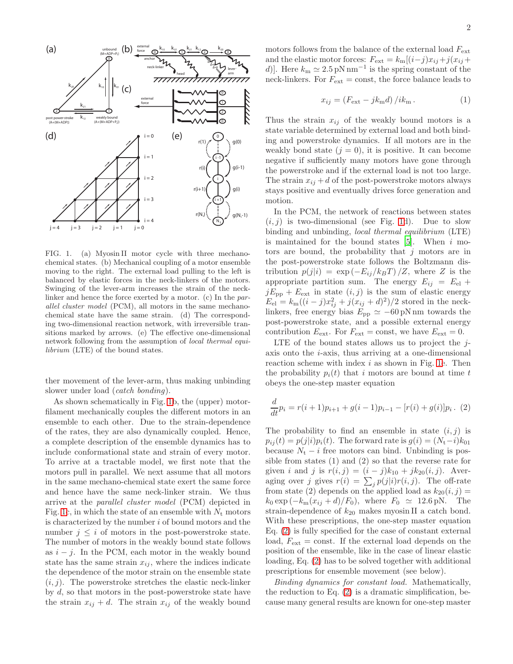

<span id="page-1-0"></span>FIG. 1. (a) Myosin II motor cycle with three mechanochemical states. (b) Mechanical coupling of a motor ensemble moving to the right. The external load pulling to the left is balanced by elastic forces in the neck-linkers of the motors. Swinging of the lever-arm increases the strain of the necklinker and hence the force exerted by a motor. (c) In the parallel cluster model (PCM), all motors in the same mechanochemical state have the same strain. (d) The corresponding two-dimensional reaction network, with irreversible transitions marked by arrows. (e) The effective one-dimensional network following from the assumption of local thermal equilibrium (LTE) of the bound states.

ther movement of the lever-arm, thus making unbinding slower under load (*catch bonding*).

As shown schematically in Fig. [1b](#page-1-0), the (upper) motorfilament mechanically couples the different motors in an ensemble to each other. Due to the strain-dependence of the rates, they are also dynamically coupled. Hence, a complete description of the ensemble dynamics has to include conformational state and strain of every motor. To arrive at a tractable model, we first note that the motors pull in parallel. We next assume that all motors in the same mechano-chemical state exert the same force and hence have the same neck-linker strain. We thus arrive at the parallel cluster model (PCM) depicted in Fig. [1c](#page-1-0), in which the state of an ensemble with  $N_t$  motors is characterized by the number  $i$  of bound motors and the number  $j \leq i$  of motors in the post-powerstroke state. The number of motors in the weakly bound state follows as  $i - j$ . In the PCM, each motor in the weakly bound state has the same strain  $x_{ij}$ , where the indices indicate the dependence of the motor strain on the ensemble state  $(i, j)$ . The powerstroke stretches the elastic neck-linker by d, so that motors in the post-powerstroke state have the strain  $x_{ij} + d$ . The strain  $x_{ij}$  of the weakly bound

motors follows from the balance of the external load  $F_{\text{ext}}$ and the elastic motor forces:  $F_{\text{ext}} = k_{\text{m}}[(i-j)x_{ij}+j(x_{ij}+$ d)]. Here  $k_m \simeq 2.5 \text{ pN nm}^{-1}$  is the spring constant of the neck-linkers. For  $F_{\text{ext}} = \text{const}$ , the force balance leads to

$$
x_{ij} = \left(F_{\text{ext}} - jk_{\text{m}}d\right)/ik_{\text{m}}\,. \tag{1}
$$

Thus the strain  $x_{ij}$  of the weakly bound motors is a state variable determined by external load and both binding and powerstroke dynamics. If all motors are in the weakly bond state  $(j = 0)$ , it is positive. It can become negative if sufficiently many motors have gone through the powerstroke and if the external load is not too large. The strain  $x_{ij} + d$  of the post-powerstroke motors always stays positive and eventually drives force generation and motion.

In the PCM, the network of reactions between states  $(i, j)$  is two-dimensional (see Fig. [1d](#page-1-0)). Due to slow binding and unbinding, local thermal equilibrium (LTE) is maintained for the bound states  $[5]$ . When i motors are bound, the probability that  $j$  motors are in the post-powerstroke state follows the Boltzmann distribution  $p(j|i) = \exp(-E_{ij}/k_BT)/Z$ , where Z is the appropriate partition sum. The energy  $E_{ij} = E_{el} +$  $jE_{\text{pp}} + E_{\text{ext}}$  in state  $(i, j)$  is the sum of elastic energy  $E_{\text{el}} = k_{\text{m}}((i-j)x_{ij}^2 + j(x_{ij} + d)^2)/2$  stored in the necklinkers, free energy bias  $E_{\rm pp} \simeq -60 \,\rm pN\,nm$  towards the post-powerstroke state, and a possible external energy contribution  $E_{\text{ext}}$ . For  $F_{\text{ext}} = \text{const}$ , we have  $E_{\text{ext}} = 0$ .

LTE of the bound states allows us to project the  $i$ axis onto the i-axis, thus arriving at a one-dimensional reaction scheme with index  $i$  as shown in Fig. [1e](#page-1-0). Then the probability  $p_i(t)$  that i motors are bound at time t obeys the one-step master equation

<span id="page-1-1"></span>
$$
\frac{d}{dt}p_i = r(i+1)p_{i+1} + g(i-1)p_{i-1} - [r(i) + g(i)]p_i.
$$
 (2)

The probability to find an ensemble in state  $(i, j)$  is  $p_{ij}(t) = p(j|i)p_i(t)$ . The forward rate is  $g(i) = (N_t-i)k_{01}$ because  $N_t - i$  free motors can bind. Unbinding is possible from states (1) and (2) so that the reverse rate for given *i* and *j* is  $r(i, j) = (i - j)k_{10} + jk_{20}(i, j)$ . Averaging over j gives  $r(i) = \sum_j p(j|i)r(i,j)$ . The off-rate from state (2) depends on the applied load as  $k_{20}(i, j) =$  $k_0 \exp(-k_m(x_{ij} + d)/F_0)$ , where  $F_0 \simeq 12.6 \text{ pN}$ . The strain-dependence of  $k_{20}$  makes myosin II a catch bond. With these prescriptions, the one-step master equation Eq. [\(2\)](#page-1-1) is fully specified for the case of constant external load,  $F_{\text{ext}} = \text{const.}$  If the external load depends on the position of the ensemble, like in the case of linear elastic loading, Eq. [\(2\)](#page-1-1) has to be solved together with additional prescriptions for ensemble movement (see below).

Binding dynamics for constant load. Mathematically, the reduction to Eq.  $(2)$  is a dramatic simplification, because many general results are known for one-step master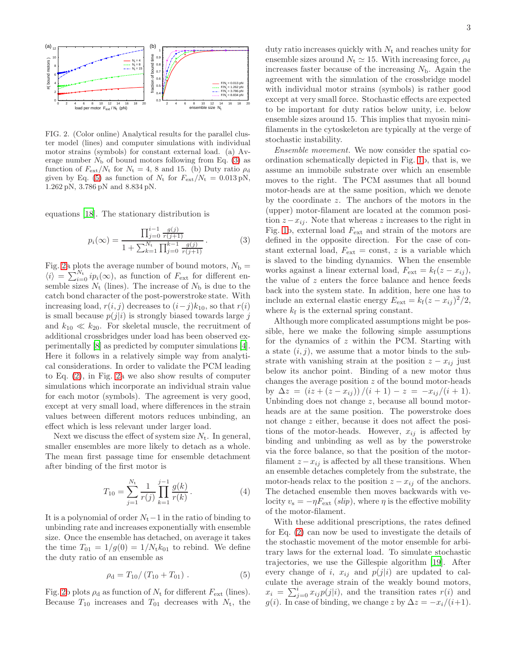

<span id="page-2-2"></span>FIG. 2. (Color online) Analytical results for the parallel cluster model (lines) and computer simulations with individual motor strains (symbols) for constant external load. (a) Average number  $N<sub>b</sub>$  of bound motors following from Eq. [\(3\)](#page-2-0) as function of  $F_{\text{ext}}/N_{\text{t}}$  for  $N_{\text{t}} = 4$ , 8 and 15. (b) Duty ratio  $\rho_{\text{d}}$ given by Eq. [\(5\)](#page-2-1) as function of  $N_t$  for  $F_{ext}/N_t = 0.013 \text{ pN}$ , 1.262 pN, 3.786 pN and 8.834 pN.

equations [\[18](#page-4-18)]. The stationary distribution is

<span id="page-2-0"></span>
$$
p_i(\infty) = \frac{\prod_{j=0}^{i-1} \frac{g(j)}{r(j+1)}}{1 + \sum_{k=1}^{N_t} \prod_{j=0}^{k-1} \frac{g(j)}{r(j+1)}}.
$$
 (3)

Fig. [2a](#page-2-2) plots the average number of bound motors,  $N_{\rm b} =$  $\langle i \rangle = \sum_{i=0}^{N_t} i p_i(\infty)$ , as function of  $F_{\text{ext}}$  for different ensemble sizes  $N_t$  (lines). The increase of  $N_b$  is due to the catch bond character of the post-powerstroke state. With increasing load,  $r(i, j)$  decreases to  $(i-j)k_{10}$ , so that  $r(i)$ is small because  $p(j|i)$  is strongly biased towards large j and  $k_{10} \ll k_{20}$ . For skeletal muscle, the recruitment of additional crossbridges under load has been observed experimentally [\[8\]](#page-4-8) as predicted by computer simulations [\[4\]](#page-4-4). Here it follows in a relatively simple way from analytical considerations. In order to validate the PCM leading to Eq. [\(2\)](#page-1-1), in Fig. [2a](#page-2-2) we also show results of computer simulations which incorporate an individual strain value for each motor (symbols). The agreement is very good, except at very small load, where differences in the strain values between different motors reduces unbinding, an effect which is less relevant under larger load.

Next we discuss the effect of system size  $N_t$ . In general, smaller ensembles are more likely to detach as a whole. The mean first passage time for ensemble detachment after binding of the first motor is

$$
T_{10} = \sum_{j=1}^{N_{\rm t}} \frac{1}{r(j)} \prod_{k=1}^{j-1} \frac{g(k)}{r(k)}.
$$
 (4)

It is a polynomial of order  $N_t-1$  in the ratio of binding to unbinding rate and increases exponentially with ensemble size. Once the ensemble has detached, on average it takes the time  $T_{01} = 1/g(0) = 1/N_t k_{01}$  to rebind. We define the duty ratio of an ensemble as

<span id="page-2-1"></span>
$$
\rho_{\rm d} = T_{10} / (T_{10} + T_{01}) \ . \tag{5}
$$

Fig. [2b](#page-2-2) plots  $\rho_d$  as function of  $N_t$  for different  $F_{\text{ext}}$  (lines). Because  $T_{10}$  increases and  $T_{01}$  decreases with  $N_t$ , the duty ratio increases quickly with  $N_t$  and reaches unity for ensemble sizes around  $N_t \simeq 15$ . With increasing force,  $\rho_d$ increases faster because of the increasing  $N<sub>b</sub>$ . Again the agreement with the simulation of the crossbridge model with individual motor strains (symbols) is rather good except at very small force. Stochastic effects are expected to be important for duty ratios below unity, i.e. below ensemble sizes around 15. This implies that myosin minifilaments in the cytoskeleton are typically at the verge of stochastic instability.

Ensemble movement. We now consider the spatial coordination schematically depicted in Fig. [1b](#page-1-0), that is, we assume an immobile substrate over which an ensemble moves to the right. The PCM assumes that all bound motor-heads are at the same position, which we denote by the coordinate z. The anchors of the motors in the (upper) motor-filament are located at the common position  $z-x_{ij}$ . Note that whereas z increases to the right in Fig. [1b](#page-1-0), external load  $F_{\text{ext}}$  and strain of the motors are defined in the opposite direction. For the case of constant external load,  $F_{\text{ext}} = \text{const}, z$  is a variable which is slaved to the binding dynamics. When the ensemble works against a linear external load,  $F_{\text{ext}} = k_f(z - x_{ij}),$ the value of  $z$  enters the force balance and hence feeds back into the system state. In addition, here one has to include an external elastic energy  $E_{\text{ext}} = k_f(z - x_{ij})^2/2$ , where  $k_f$  is the external spring constant.

Although more complicated assumptions might be possible, here we make the following simple assumptions for the dynamics of z within the PCM. Starting with a state  $(i, j)$ , we assume that a motor binds to the substrate with vanishing strain at the position  $z - x_{ij}$  just below its anchor point. Binding of a new motor thus changes the average position z of the bound motor-heads by  $\Delta z = (iz + (z - x_{ij}))/(i + 1) - z = -x_{ij}/(i + 1)$ . Unbinding does not change z, because all bound motorheads are at the same position. The powerstroke does not change z either, because it does not affect the positions of the motor-heads. However,  $x_{ij}$  is affected by binding and unbinding as well as by the powerstroke via the force balance, so that the position of the motorfilament  $z - x_{ij}$  is affected by all these transitions. When an ensemble detaches completely from the substrate, the motor-heads relax to the position  $z - x_{ij}$  of the anchors. The detached ensemble then moves backwards with velocity  $v_s = -\eta F_{\text{ext}}(slip)$ , where  $\eta$  is the effective mobility of the motor-filament.

With these additional prescriptions, the rates defined for Eq. [\(2\)](#page-1-1) can now be used to investigate the details of the stochastic movement of the motor ensemble for arbitrary laws for the external load. To simulate stochastic trajectories, we use the Gillespie algorithm [\[19](#page-4-19)]. After every change of i,  $x_{ij}$  and  $p(j|i)$  are updated to calculate the average strain of the weakly bound motors,  $x_i = \sum_{j=0}^i x_{ij} p(j|i)$ , and the transition rates  $r(i)$  and g(i). In case of binding, we change z by  $\Delta z = -x_i/(i+1)$ .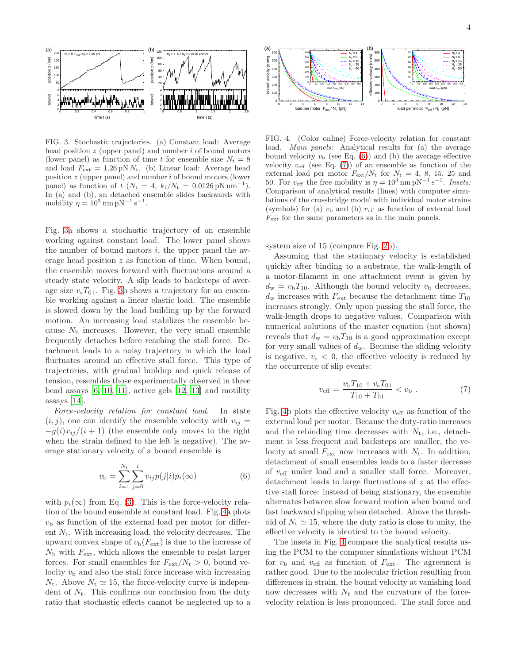

<span id="page-3-0"></span>FIG. 3. Stochastic trajectories. (a) Constant load: Average head position  $z$  (upper panel) and number  $i$  of bound motors (lower panel) as function of time t for ensemble size  $N_t = 8$ and load  $F_{\text{ext}} = 1.26 \text{ pN} N_t$ . (b) Linear load: Average head position z (upper panel) and number i of bound motors (lower panel) as function of  $t$  ( $N_t = 4$ ,  $k_f/N_t = 0.0126$  pN nm<sup>-1</sup> ). In (a) and (b), an detached ensemble slides backwards with mobility  $\eta = 10^3$  nm pN<sup>-1</sup> s<sup>-1</sup>.

Fig. [3a](#page-3-0) shows a stochastic trajectory of an ensemble working against constant load. The lower panel shows the number of bound motors  $i$ , the upper panel the average head position z as function of time. When bound, the ensemble moves forward with fluctuations around a steady state velocity. A slip leads to backsteps of average size  $v_sT_{01}$ . Fig. [3b](#page-3-0) shows a trajectory for an ensemble working against a linear elastic load. The ensemble is slowed down by the load building up by the forward motion. An increasing load stabilizes the ensemble because  $N<sub>b</sub>$  increases. However, the very small ensemble frequently detaches before reaching the stall force. Detachment leads to a noisy trajectory in which the load fluctuates around an effective stall force. This type of trajectories, with gradual buildup and quick release of tension, resembles those experimentally observed in three bead assays [\[6,](#page-4-6) [10,](#page-4-10) [11](#page-4-11)], active gels [\[12,](#page-4-12) [13](#page-4-13)] and motility assays [\[14\]](#page-4-14).

Force-velocity relation for constant load. In state  $(i, j)$ , one can identify the ensemble velocity with  $v_{ij} =$  $-q(i)x_{ii}/(i+1)$  (the ensemble only moves to the right when the strain defined to the left is negative). The average stationary velocity of a bound ensemble is

<span id="page-3-2"></span>
$$
v_{\rm b} = \sum_{i=1}^{N_{\rm t}} \sum_{j=0}^{i} v_{ij} p(j|i) p_i(\infty)
$$
 (6)

with  $p_i(\infty)$  from Eq. [\(3\)](#page-2-0). This is the force-velocity relation of the bound ensemble at constant load. Fig. [4a](#page-3-1) plots  $v<sub>b</sub>$  as function of the external load per motor for different  $N_t$ . With increasing load, the velocity decreases. The upward convex shape of  $v_{b}(F_{ext})$  is due to the increase of  $N<sub>b</sub>$  with  $F<sub>ext</sub>$ , which allows the ensemble to resist larger forces. For small ensembles for  $F_{ext}/N_t > 0$ , bound velocity  $v<sub>b</sub>$  and also the stall force increase with increasing  $N_t$ . Above  $N_t \simeq 15$ , the force-velocity curve is independent of  $N_t$ . This confirms our conclusion from the duty ratio that stochastic effects cannot be neglected up to a



<span id="page-3-1"></span>FIG. 4. (Color online) Force-velocity relation for constant load. Main panels: Analytical results for (a) the average bound velocity  $v<sub>b</sub>$  (see Eq. [\(6\)](#page-3-2)) and (b) the average effective velocity  $v_{\text{eff}}$  (see Eq. [\(7\)](#page-3-3)) of an ensemble as function of the external load per motor  $F_{ext}/N_t$  for  $N_t = 4, 8, 15, 25$  and 50. For  $v_{\text{eff}}$  the free mobility is  $\eta = 10^3 \text{ nm pN}^{-1} \text{ s}^{-1}$ . Insets: Comparison of analytical results (lines) with computer simulations of the crossbridge model with individual motor strains (symbols) for (a)  $v<sub>b</sub>$  and (b)  $v<sub>eff</sub>$  as function of external load  $F_{\text{ext}}$  for the same parameters as in the main panels.

system size of 15 (compare Fig. [2b](#page-2-2)).

Assuming that the stationary velocity is established quickly after binding to a substrate, the walk-length of a motor-filament in one attachment event is given by  $d_{\rm w} = v_{\rm b}T_{10}$ . Although the bound velocity  $v_{\rm b}$  decreases,  $d_{\rm w}$  increases with  $F_{\rm ext}$  because the detachment time  $T_{10}$ increases strongly. Only upon passing the stall force, the walk-length drops to negative values. Comparison with numerical solutions of the master equation (not shown) reveals that  $d_w = v_b T_{10}$  is a good approximation except for very small values of  $d_w$ . Because the sliding velocity is negative,  $v_s < 0$ , the effective velocity is reduced by the occurrence of slip events:

<span id="page-3-3"></span>
$$
v_{\text{eff}} = \frac{v_{\text{b}} T_{10} + v_{\text{s}} T_{01}}{T_{10} + T_{01}} < v_{\text{b}} \tag{7}
$$

Fig. [4b](#page-3-1) plots the effective velocity  $v_{\text{eff}}$  as function of the external load per motor. Because the duty-ratio increases and the rebinding time decreases with  $N_t$ , i.e., detachment is less frequent and backsteps are smaller, the velocity at small  $F_{\text{ext}}$  now increases with  $N_t$ . In addition, detachment of small ensembles leads to a faster decrease of  $v_{\text{eff}}$  under load and a smaller stall force. Moreover, detachment leads to large fluctuations of z at the effective stall force: instead of being stationary, the ensemble alternates between slow forward motion when bound and fast backward slipping when detached. Above the threshold of  $N_t \simeq 15$ , where the duty ratio is close to unity, the effective velocity is identical to the bound velocity.

The insets in Fig. [4](#page-3-1) compare the analytical results using the PCM to the computer simulations without PCM for  $v_{\rm b}$  and  $v_{\rm eff}$  as function of  $F_{\rm ext}$ . The agreement is rather good. Due to the molecular friction resulting from differences in strain, the bound velocity at vanishing load now decreases with  $N_t$  and the curvature of the forcevelocity relation is less pronounced. The stall force and